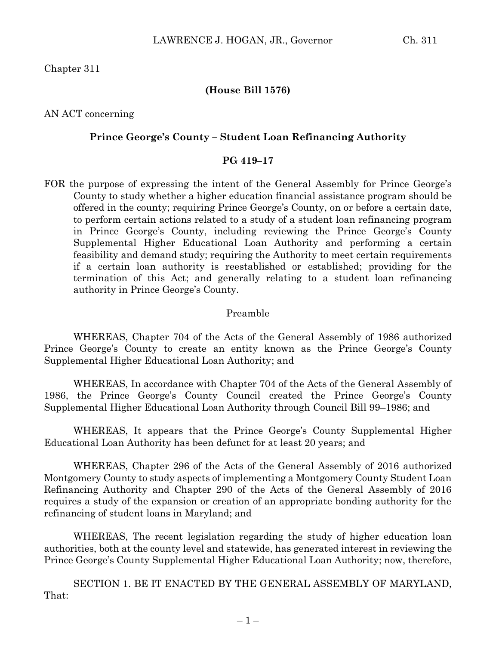Chapter 311

### **(House Bill 1576)**

AN ACT concerning

#### **Prince George's County – Student Loan Refinancing Authority**

### **PG 419–17**

FOR the purpose of expressing the intent of the General Assembly for Prince George's County to study whether a higher education financial assistance program should be offered in the county; requiring Prince George's County, on or before a certain date, to perform certain actions related to a study of a student loan refinancing program in Prince George's County, including reviewing the Prince George's County Supplemental Higher Educational Loan Authority and performing a certain feasibility and demand study; requiring the Authority to meet certain requirements if a certain loan authority is reestablished or established; providing for the termination of this Act; and generally relating to a student loan refinancing authority in Prince George's County.

#### Preamble

WHEREAS, Chapter 704 of the Acts of the General Assembly of 1986 authorized Prince George's County to create an entity known as the Prince George's County Supplemental Higher Educational Loan Authority; and

WHEREAS, In accordance with Chapter 704 of the Acts of the General Assembly of 1986, the Prince George's County Council created the Prince George's County Supplemental Higher Educational Loan Authority through Council Bill 99–1986; and

WHEREAS, It appears that the Prince George's County Supplemental Higher Educational Loan Authority has been defunct for at least 20 years; and

WHEREAS, Chapter 296 of the Acts of the General Assembly of 2016 authorized Montgomery County to study aspects of implementing a Montgomery County Student Loan Refinancing Authority and Chapter 290 of the Acts of the General Assembly of 2016 requires a study of the expansion or creation of an appropriate bonding authority for the refinancing of student loans in Maryland; and

WHEREAS, The recent legislation regarding the study of higher education loan authorities, both at the county level and statewide, has generated interest in reviewing the Prince George's County Supplemental Higher Educational Loan Authority; now, therefore,

SECTION 1. BE IT ENACTED BY THE GENERAL ASSEMBLY OF MARYLAND, That: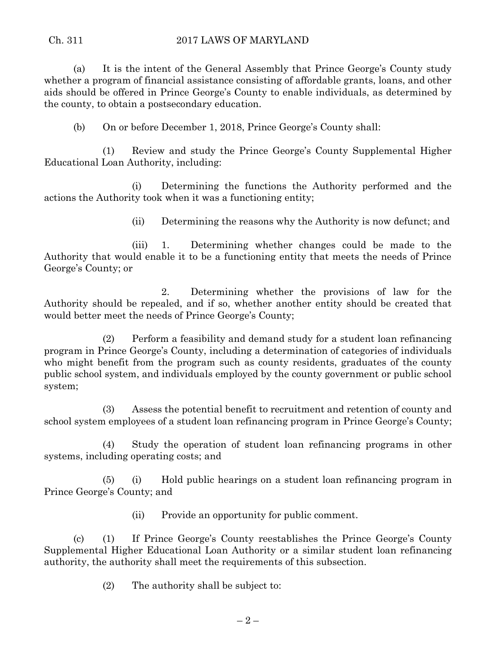# Ch. 311 2017 LAWS OF MARYLAND

(a) It is the intent of the General Assembly that Prince George's County study whether a program of financial assistance consisting of affordable grants, loans, and other aids should be offered in Prince George's County to enable individuals, as determined by the county, to obtain a postsecondary education.

(b) On or before December 1, 2018, Prince George's County shall:

(1) Review and study the Prince George's County Supplemental Higher Educational Loan Authority, including:

(i) Determining the functions the Authority performed and the actions the Authority took when it was a functioning entity;

(ii) Determining the reasons why the Authority is now defunct; and

(iii) 1. Determining whether changes could be made to the Authority that would enable it to be a functioning entity that meets the needs of Prince George's County; or

2. Determining whether the provisions of law for the Authority should be repealed, and if so, whether another entity should be created that would better meet the needs of Prince George's County;

(2) Perform a feasibility and demand study for a student loan refinancing program in Prince George's County, including a determination of categories of individuals who might benefit from the program such as county residents, graduates of the county public school system, and individuals employed by the county government or public school system;

(3) Assess the potential benefit to recruitment and retention of county and school system employees of a student loan refinancing program in Prince George's County;

(4) Study the operation of student loan refinancing programs in other systems, including operating costs; and

(5) (i) Hold public hearings on a student loan refinancing program in Prince George's County; and

(ii) Provide an opportunity for public comment.

(c) (1) If Prince George's County reestablishes the Prince George's County Supplemental Higher Educational Loan Authority or a similar student loan refinancing authority, the authority shall meet the requirements of this subsection.

(2) The authority shall be subject to: